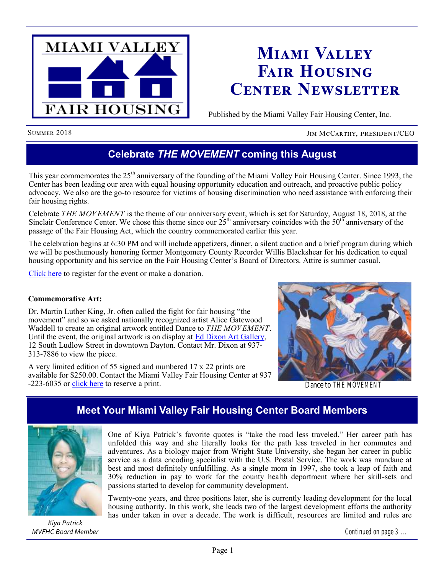

# **Miami Valley Fair Housing Center Newsletter**

Published by the Miami Valley Fair Housing Center, Inc.

SUMMER 2018 JIM MCCARTHY, PRESIDENT/CEO

# **Celebrate** *THE MOVEMENT* **coming this August**

This year commemorates the 25<sup>th</sup> anniversary of the founding of the Miami Valley Fair Housing Center. Since 1993, the Center has been leading our area with equal housing opportunity education and outreach, and proactive public policy advocacy. We also are the go-to resource for victims of housing discrimination who need assistance with enforcing their fair housing rights.

Celebrate *THE MOVEMENT* is the theme of our anniversary event, which is set for Saturday, August 18, 2018, at the Sinclair Conference Center. We chose this theme since our  $25<sup>th</sup>$  anniversary coincides with the  $50<sup>th</sup>$  anniversary of the passage of the Fair Housing Act, which the country commemorated earlier this year.

The celebration begins at 6:30 PM and will include appetizers, dinner, a silent auction and a brief program during which we will be posthumously honoring former Montgomery County Recorder Willis Blackshear for his dedication to equal housing opportunity and his service on the Fair Housing Center's Board of Directors. Attire is summer casual.

[Click here](http://www.mvfairhousing.com/ctm/) to register for the event or make a donation.

#### **Commemorative Art:**

Dr. Martin Luther King, Jr. often called the fight for fair housing "the movement" and so we asked nationally recognized artist Alice Gatewood Waddell to create an original artwork entitled Dance to *THE MOVEMENT*. Until the event, the original artwork is on display at [Ed Dixon Art Gallery,](https://eadgallery.com/) 12 South Ludlow Street in downtown Dayton. Contact Mr. Dixon at 937- 313-7886 to view the piece.

A very limited edition of 55 signed and numbered 17 x 22 prints are available for \$250.00. Contact the Miami Valley Fair Housing Center at 937 -223-6035 or [click here](http://www.mvfairhousing.com/ctm/) to reserve a print.



Dance to *THE MOVEMENT*

### **Meet Your Miami Valley Fair Housing Center Board Members**



*Kiya Patrick MVFHC Board Member*

One of Kiya Patrick's favorite quotes is "take the road less traveled." Her career path has unfolded this way and she literally looks for the path less traveled in her commutes and adventures. As a biology major from Wright State University, she began her career in public service as a data encoding specialist with the U.S. Postal Service. The work was mundane at best and most definitely unfulfilling. As a single mom in 1997, she took a leap of faith and 30% reduction in pay to work for the county health department where her skill-sets and passions started to develop for community development.

Twenty-one years, and three positions later, she is currently leading development for the local housing authority. In this work, she leads two of the largest development efforts the authority has under taken in over a decade. The work is difficult, resources are limited and rules are

*Continued on page 3 ...*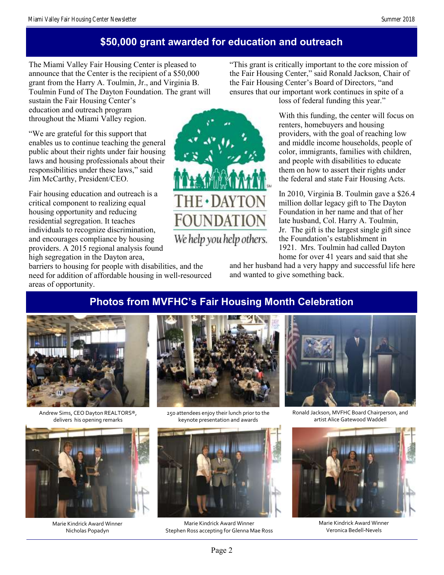## **\$50,000 grant awarded for education and outreach**

The Miami Valley Fair Housing Center is pleased to announce that the Center is the recipient of a \$50,000 grant from the Harry A. Toulmin, Jr., and Virginia B. Toulmin Fund of The Dayton Foundation. The grant will

sustain the Fair Housing Center's education and outreach program throughout the Miami Valley region.

"We are grateful for this support that enables us to continue teaching the general public about their rights under fair housing laws and housing professionals about their responsibilities under these laws," said Jim McCarthy, President/CEO.

Fair housing education and outreach is a critical component to realizing equal housing opportunity and reducing residential segregation. It teaches individuals to recognize discrimination, and encourages compliance by housing providers. A 2015 regional analysis found high segregation in the Dayton area,

barriers to housing for people with disabilities, and the need for addition of affordable housing in well-resourced areas of opportunity.



"This grant is critically important to the core mission of the Fair Housing Center," said Ronald Jackson, Chair of the Fair Housing Center's Board of Directors, "and ensures that our important work continues in spite of a loss of federal funding this year."

> With this funding, the center will focus on renters, homebuyers and housing providers, with the goal of reaching low and middle income households, people of color, immigrants, families with children, and people with disabilities to educate them on how to assert their rights under the federal and state Fair Housing Acts.

> In 2010, Virginia B. Toulmin gave a \$26.4 million dollar legacy gift to The Dayton Foundation in her name and that of her late husband, Col. Harry A. Toulmin, Jr. The gift is the largest single gift since the Foundation's establishment in 1921. Mrs. Toulmin had called Dayton home for over 41 years and said that she

and her husband had a very happy and successful life here and wanted to give something back.

# **Photos from MVFHC's Fair Housing Month Celebration**



Andrew Sims, CEO Dayton REALTORS®, delivers his opening remarks



Marie Kindrick Award Winner Nicholas Popadyn



250 attendees enjoy their lunch prior to the keynote presentation and awards



Marie Kindrick Award Winner Stephen Ross accepting for Glenna Mae Ross



Ronald Jackson, MVFHC Board Chairperson, and artist Alice Gatewood Waddell



Marie Kindrick Award Winner Veronica Bedell-Nevels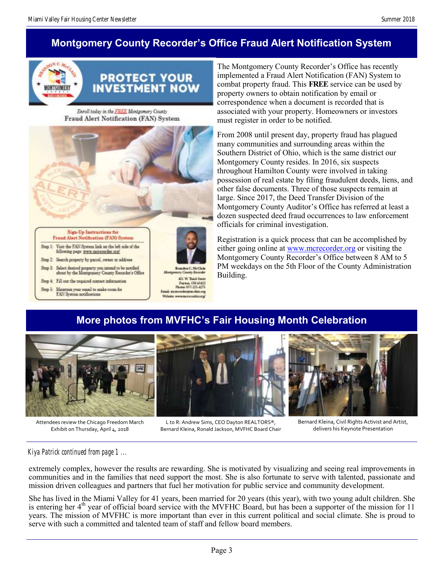# **Montgomery County Recorder's Office Fraud Alert Notification System**



Enroll today in the FREE Montgomery County Fraud Alert Notification (FAN) System



The Montgomery County Recorder's Office has recently implemented a Fraud Alert Notification (FAN) System to combat property fraud. This **FREE** service can be used by property owners to obtain notification by email or correspondence when a document is recorded that is associated with your property. Homeowners or investors must register in order to be notified.

From 2008 until present day, property fraud has plagued many communities and surrounding areas within the Southern District of Ohio, which is the same district our Montgomery County resides. In 2016, six suspects throughout Hamilton County were involved in taking possession of real estate by filing fraudulent deeds, liens, and other false documents. Three of those suspects remain at large. Since 2017, the Deed Transfer Division of the Montgomery County Auditor's Office has referred at least a dozen suspected deed fraud occurrences to law enforcement officials for criminal investigation.

Registration is a quick process that can be accomplished by either going online at [www.mcrecorder.org](http://www.mcrecorder.org) or visiting the Montgomery County Recorder's Office between 8 AM to 5 PM weekdays on the 5th Floor of the County Administration Building.

# **More photos from MVFHC's Fair Housing Month Celebration**



Attendees review the Chicago Freedom March Exhibit on Thursday, April 4, 2018

L to R: Andrew Sims, CEO Dayton REALTORS®, Bernard Kleina, Ronald Jackson, MVFHC Board Chair

Bernard Kleina, Civil Rights Activist and Artist, delivers his Keynote Presentation

#### *Kiya Patrick continued from page 1 ...*

extremely complex, however the results are rewarding. She is motivated by visualizing and seeing real improvements in communities and in the families that need support the most. She is also fortunate to serve with talented, passionate and mission driven colleagues and partners that fuel her motivation for public service and community development.

She has lived in the Miami Valley for 41 years, been married for 20 years (this year), with two young adult children. She is entering her 4<sup>th</sup> year of official board service with the MVFHC Board, but has been a supporter of the mission for 11 years. The mission of MVFHC is more important than ever in this current political and social climate. She is proud to serve with such a committed and talented team of staff and fellow board members.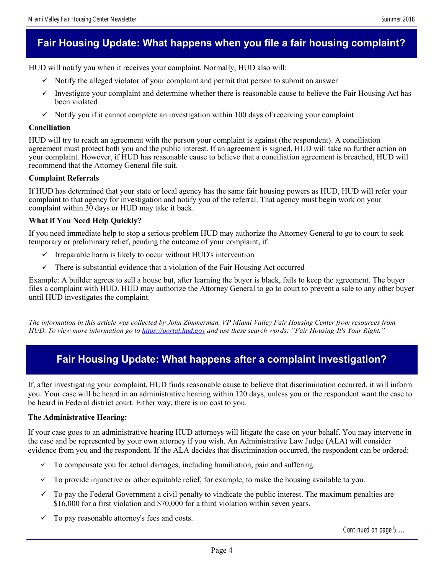# **Fair Housing Update: What happens when you file a fair housing complaint?**

HUD will notify you when it receives your complaint. Normally, HUD also will:

- $\checkmark$  Notify the alleged violator of your complaint and permit that person to submit an answer
- Investigate your complaint and determine whether there is reasonable cause to believe the Fair Housing Act has been violated
- $\checkmark$  Notify you if it cannot complete an investigation within 100 days of receiving your complaint

#### **Conciliation**

HUD will try to reach an agreement with the person your complaint is against (the respondent). A conciliation agreement must protect both you and the public interest. If an agreement is signed, HUD will take no further action on your complaint. However, if HUD has reasonable cause to believe that a conciliation agreement is breached, HUD will recommend that the Attorney General file suit.

#### **Complaint Referrals**

If HUD has determined that your state or local agency has the same fair housing powers as HUD, HUD will refer your complaint to that agency for investigation and notify you of the referral. That agency must begin work on your complaint within 30 days or HUD may take it back.

#### **What if You Need Help Quickly?**

If you need immediate help to stop a serious problem HUD may authorize the Attorney General to go to court to seek temporary or preliminary relief, pending the outcome of your complaint, if:

- $\checkmark$  Irreparable harm is likely to occur without HUD's intervention
- $\checkmark$  There is substantial evidence that a violation of the Fair Housing Act occurred

Example: A builder agrees to sell a house but, after learning the buyer is black, fails to keep the agreement. The buyer files a complaint with HUD. HUD may authorize the Attorney General to go to court to prevent a sale to any other buyer until HUD investigates the complaint.

*The information in this article was collected by John Zimmerman, VP Miami Valley Fair Housing Center from resources from HUD. To view more information go to <https://portal.hud.gov> and use these search words: "Fair Housing-It's Your Right."*

### **Fair Housing Update: What happens after a complaint investigation?**

If, after investigating your complaint, HUD finds reasonable cause to believe that discrimination occurred, it will inform you. Your case will be heard in an administrative hearing within 120 days, unless you or the respondent want the case to be heard in Federal district court. Either way, there is no cost to you.

#### **The Administrative Hearing:**

If your case goes to an administrative hearing HUD attorneys will litigate the case on your behalf. You may intervene in the case and be represented by your own attorney if you wish. An Administrative Law Judge (ALA) will consider evidence from you and the respondent. If the ALA decides that discrimination occurred, the respondent can be ordered:

- $\checkmark$  To compensate you for actual damages, including humiliation, pain and suffering.
- $\checkmark$  To provide injunctive or other equitable relief, for example, to make the housing available to you.
- $\checkmark$  To pay the Federal Government a civil penalty to vindicate the public interest. The maximum penalties are \$16,000 for a first violation and \$70,000 for a third violation within seven years.
- $\checkmark$  To pay reasonable attorney's fees and costs.